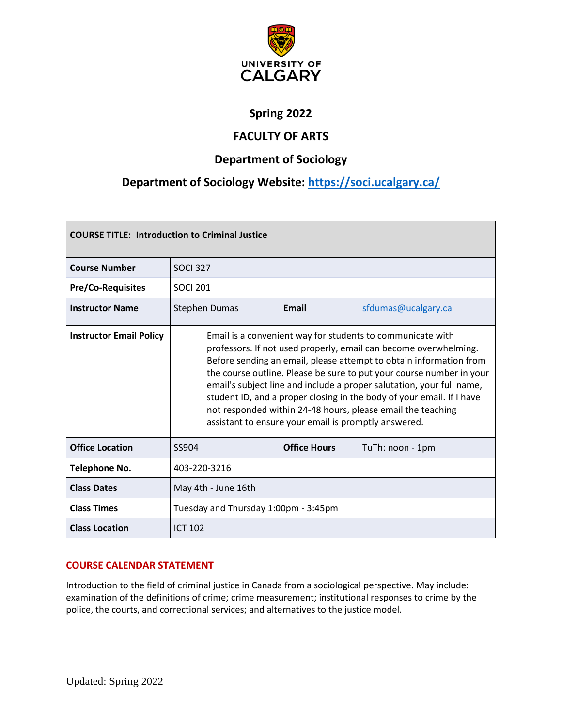

# **Spring 2022**

# **FACULTY OF ARTS**

# **Department of Sociology**

# **Department of Sociology Website: <https://soci.ucalgary.ca/>**

| <b>COURSE TITLE: Introduction to Criminal Justice</b> |                                                                                                                                                                                                                                                                                                                                                                                                                                                                                                                                                       |                     |                     |  |  |  |
|-------------------------------------------------------|-------------------------------------------------------------------------------------------------------------------------------------------------------------------------------------------------------------------------------------------------------------------------------------------------------------------------------------------------------------------------------------------------------------------------------------------------------------------------------------------------------------------------------------------------------|---------------------|---------------------|--|--|--|
| <b>Course Number</b>                                  | <b>SOCI 327</b>                                                                                                                                                                                                                                                                                                                                                                                                                                                                                                                                       |                     |                     |  |  |  |
| <b>Pre/Co-Requisites</b>                              | <b>SOCI 201</b>                                                                                                                                                                                                                                                                                                                                                                                                                                                                                                                                       |                     |                     |  |  |  |
| <b>Instructor Name</b>                                | <b>Stephen Dumas</b>                                                                                                                                                                                                                                                                                                                                                                                                                                                                                                                                  | <b>Email</b>        | sfdumas@ucalgary.ca |  |  |  |
| <b>Instructor Email Policy</b>                        | Email is a convenient way for students to communicate with<br>professors. If not used properly, email can become overwhelming.<br>Before sending an email, please attempt to obtain information from<br>the course outline. Please be sure to put your course number in your<br>email's subject line and include a proper salutation, your full name,<br>student ID, and a proper closing in the body of your email. If I have<br>not responded within 24-48 hours, please email the teaching<br>assistant to ensure your email is promptly answered. |                     |                     |  |  |  |
| <b>Office Location</b>                                | SS904                                                                                                                                                                                                                                                                                                                                                                                                                                                                                                                                                 | <b>Office Hours</b> | TuTh: noon - 1pm    |  |  |  |
| <b>Telephone No.</b>                                  | 403-220-3216                                                                                                                                                                                                                                                                                                                                                                                                                                                                                                                                          |                     |                     |  |  |  |
| <b>Class Dates</b>                                    | May 4th - June 16th                                                                                                                                                                                                                                                                                                                                                                                                                                                                                                                                   |                     |                     |  |  |  |
| <b>Class Times</b>                                    | Tuesday and Thursday 1:00pm - 3:45pm                                                                                                                                                                                                                                                                                                                                                                                                                                                                                                                  |                     |                     |  |  |  |
| <b>Class Location</b>                                 | <b>ICT 102</b>                                                                                                                                                                                                                                                                                                                                                                                                                                                                                                                                        |                     |                     |  |  |  |

# **COURSE CALENDAR STATEMENT**

Introduction to the field of criminal justice in Canada from a sociological perspective. May include: examination of the definitions of crime; crime measurement; institutional responses to crime by the police, the courts, and correctional services; and alternatives to the justice model.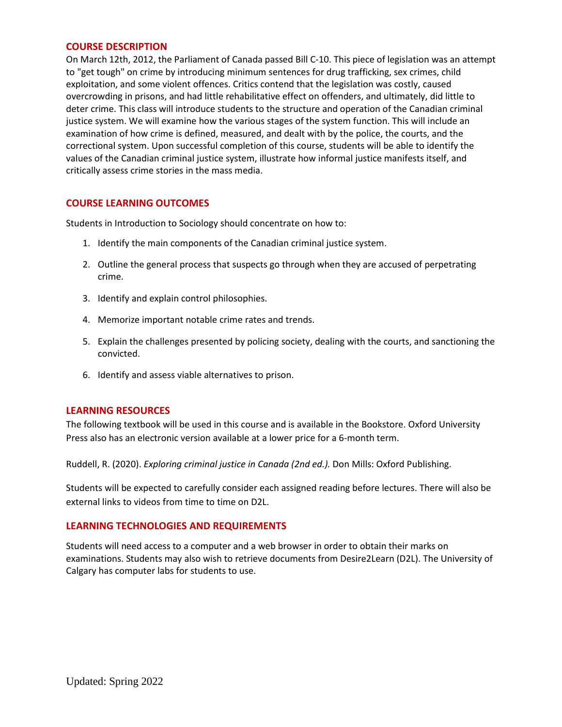### **COURSE DESCRIPTION**

On March 12th, 2012, the Parliament of Canada passed Bill C-10. This piece of legislation was an attempt to "get tough" on crime by introducing minimum sentences for drug trafficking, sex crimes, child exploitation, and some violent offences. Critics contend that the legislation was costly, caused overcrowding in prisons, and had little rehabilitative effect on offenders, and ultimately, did little to deter crime. This class will introduce students to the structure and operation of the Canadian criminal justice system. We will examine how the various stages of the system function. This will include an examination of how crime is defined, measured, and dealt with by the police, the courts, and the correctional system. Upon successful completion of this course, students will be able to identify the values of the Canadian criminal justice system, illustrate how informal justice manifests itself, and critically assess crime stories in the mass media.

# **COURSE LEARNING OUTCOMES**

Students in Introduction to Sociology should concentrate on how to:

- 1. Identify the main components of the Canadian criminal justice system.
- 2. Outline the general process that suspects go through when they are accused of perpetrating crime.
- 3. Identify and explain control philosophies.
- 4. Memorize important notable crime rates and trends.
- 5. Explain the challenges presented by policing society, dealing with the courts, and sanctioning the convicted.
- 6. Identify and assess viable alternatives to prison.

### **LEARNING RESOURCES**

The following textbook will be used in this course and is available in the Bookstore. Oxford University Press also has an electronic version available at a lower price for a 6-month term.

Ruddell, R. (2020). *Exploring criminal justice in Canada (2nd ed.).* Don Mills: Oxford Publishing.

Students will be expected to carefully consider each assigned reading before lectures. There will also be external links to videos from time to time on D2L.

# **LEARNING TECHNOLOGIES AND REQUIREMENTS**

Students will need access to a computer and a web browser in order to obtain their marks on examinations. Students may also wish to retrieve documents from Desire2Learn (D2L). The University of Calgary has computer labs for students to use.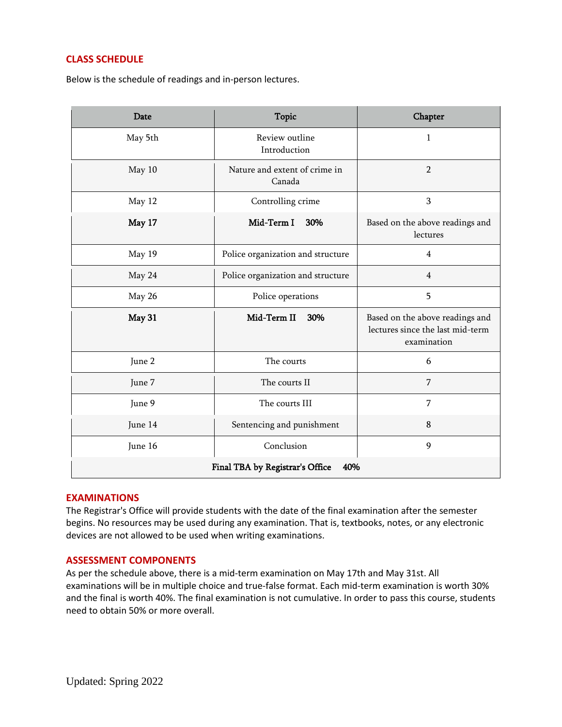# **CLASS SCHEDULE**

Below is the schedule of readings and in-person lectures.

| Date                                   | <b>Topic</b>                            | Chapter                                                                            |  |  |  |
|----------------------------------------|-----------------------------------------|------------------------------------------------------------------------------------|--|--|--|
| May 5th                                | Review outline<br>Introduction          | 1                                                                                  |  |  |  |
| May 10                                 | Nature and extent of crime in<br>Canada | $\overline{2}$                                                                     |  |  |  |
| May 12                                 | Controlling crime                       | 3                                                                                  |  |  |  |
| May 17                                 | Mid-Term I<br>30%                       | Based on the above readings and<br>lectures                                        |  |  |  |
| May 19                                 | Police organization and structure       | 4                                                                                  |  |  |  |
| May 24                                 | Police organization and structure       | $\overline{4}$                                                                     |  |  |  |
| May 26                                 | Police operations                       | 5                                                                                  |  |  |  |
| May 31                                 | Mid-Term II<br>30%                      | Based on the above readings and<br>lectures since the last mid-term<br>examination |  |  |  |
| June 2                                 | The courts                              | 6                                                                                  |  |  |  |
| June 7                                 | The courts II                           | 7                                                                                  |  |  |  |
| June 9                                 | The courts III                          | 7                                                                                  |  |  |  |
| June 14                                | Sentencing and punishment               | $\bf 8$                                                                            |  |  |  |
| June 16                                | Conclusion                              | 9                                                                                  |  |  |  |
| Final TBA by Registrar's Office<br>40% |                                         |                                                                                    |  |  |  |

# **EXAMINATIONS**

The Registrar's Office will provide students with the date of the final examination after the semester begins. No resources may be used during any examination. That is, textbooks, notes, or any electronic devices are not allowed to be used when writing examinations.

# **ASSESSMENT COMPONENTS**

As per the schedule above, there is a mid-term examination on May 17th and May 31st. All examinations will be in multiple choice and true-false format. Each mid-term examination is worth 30% and the final is worth 40%. The final examination is not cumulative. In order to pass this course, students need to obtain 50% or more overall.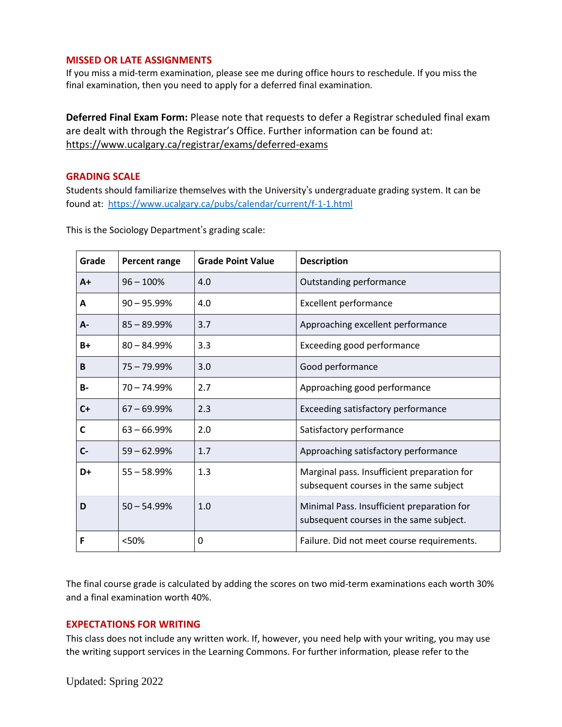# **MISSED OR LATE ASSIGNMENTS**

If you miss a mid-term examination, please see me during office hours to reschedule. If you miss the final examination, then you need to apply for a deferred final examination.

**Deferred Final Exam Form:** Please note that requests to defer a Registrar scheduled final exam are dealt with through the Registrar's Office. Further information can be found at: <https://www.ucalgary.ca/registrar/exams/deferred-exams>

### **GRADING SCALE**

Students should familiarize themselves with the University's undergraduate grading system. It can be found at: <https://www.ucalgary.ca/pubs/calendar/current/f-1-1.html>

| Grade     | <b>Percent range</b> | <b>Grade Point Value</b> | <b>Description</b>                                                                    |
|-----------|----------------------|--------------------------|---------------------------------------------------------------------------------------|
| $A+$      | $96 - 100%$          | 4.0                      | Outstanding performance                                                               |
| A         | $90 - 95.99\%$       | 4.0                      | <b>Excellent performance</b>                                                          |
| A-        | $85 - 89.99\%$       | 3.7                      | Approaching excellent performance                                                     |
| $B+$      | $80 - 84.99%$        | 3.3                      | Exceeding good performance                                                            |
| B         | $75 - 79.99%$        | 3.0                      | Good performance                                                                      |
| <b>B-</b> | $70 - 74.99%$        | 2.7                      | Approaching good performance                                                          |
| $C+$      | $67 - 69.99\%$       | 2.3                      | Exceeding satisfactory performance                                                    |
| C         | $63 - 66.99%$        | 2.0                      | Satisfactory performance                                                              |
| $C-$      | $59 - 62.99%$        | 1.7                      | Approaching satisfactory performance                                                  |
| D+        | $55 - 58.99%$        | 1.3                      | Marginal pass. Insufficient preparation for<br>subsequent courses in the same subject |
| D         | $50 - 54.99%$        | 1.0                      | Minimal Pass. Insufficient preparation for<br>subsequent courses in the same subject. |
| F         | <50%                 | 0                        | Failure. Did not meet course requirements.                                            |

This is the Sociology Department's grading scale:

The final course grade is calculated by adding the scores on two mid-term examinations each worth 30% and a final examination worth 40%.

# **EXPECTATIONS FOR WRITING**

This class does not include any written work. If, however, you need help with your writing, you may use the writing support services in the Learning Commons. For further information, please refer to the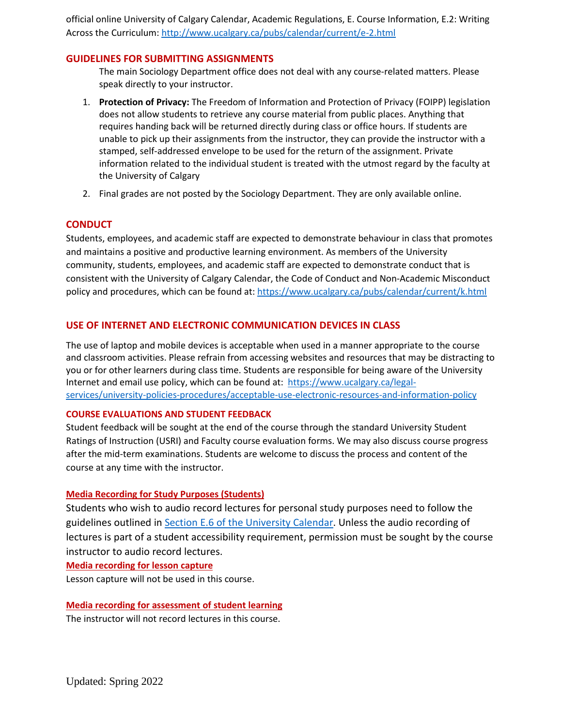official online University of Calgary Calendar, Academic Regulations, E. Course Information, E.2: Writing Across the Curriculum: <http://www.ucalgary.ca/pubs/calendar/current/e-2.html>

# **GUIDELINES FOR SUBMITTING ASSIGNMENTS**

The main Sociology Department office does not deal with any course-related matters. Please speak directly to your instructor.

- 1. **Protection of Privacy:** The Freedom of Information and Protection of Privacy (FOIPP) legislation does not allow students to retrieve any course material from public places. Anything that requires handing back will be returned directly during class or office hours. If students are unable to pick up their assignments from the instructor, they can provide the instructor with a stamped, self-addressed envelope to be used for the return of the assignment. Private information related to the individual student is treated with the utmost regard by the faculty at the University of Calgary
- 2. Final grades are not posted by the Sociology Department. They are only available online.

# **CONDUCT**

Students, employees, and academic staff are expected to demonstrate behaviour in class that promotes and maintains a positive and productive learning environment. As members of the University community, students, employees, and academic staff are expected to demonstrate conduct that is consistent with the University of Calgary Calendar, the Code of Conduct and Non-Academic Misconduct policy and procedures, which can be found at: <https://www.ucalgary.ca/pubs/calendar/current/k.html>

# **USE OF INTERNET AND ELECTRONIC COMMUNICATION DEVICES IN CLASS**

The use of laptop and mobile devices is acceptable when used in a manner appropriate to the course and classroom activities. Please refrain from accessing websites and resources that may be distracting to you or for other learners during class time. Students are responsible for being aware of the University Internet and email use policy, which can be found at: [https://www.ucalgary.ca/legal](https://www.ucalgary.ca/legal-services/university-policies-procedures/acceptable-use-electronic-resources-and-information-policy)[services/university-policies-procedures/acceptable-use-electronic-resources-and-information-policy](https://www.ucalgary.ca/legal-services/university-policies-procedures/acceptable-use-electronic-resources-and-information-policy)

### **COURSE EVALUATIONS AND STUDENT FEEDBACK**

Student feedback will be sought at the end of the course through the standard University Student Ratings of Instruction (USRI) and Faculty course evaluation forms. We may also discuss course progress after the mid-term examinations. Students are welcome to discuss the process and content of the course at any time with the instructor.

### **Media Recording for Study Purposes (Students)**

Students who wish to audio record lectures for personal study purposes need to follow the guidelines outlined in Section E.6 of the [University](https://www.ucalgary.ca/pubs/calendar/current/e-6.html) Calendar. Unless the audio recording of lectures is part of a student accessibility requirement, permission must be sought by the course instructor to audio record lectures.

### **Media recording for lesson capture**

Lesson capture will not be used in this course.

### **Media recording for assessment of student learning**

The instructor will not record lectures in this course.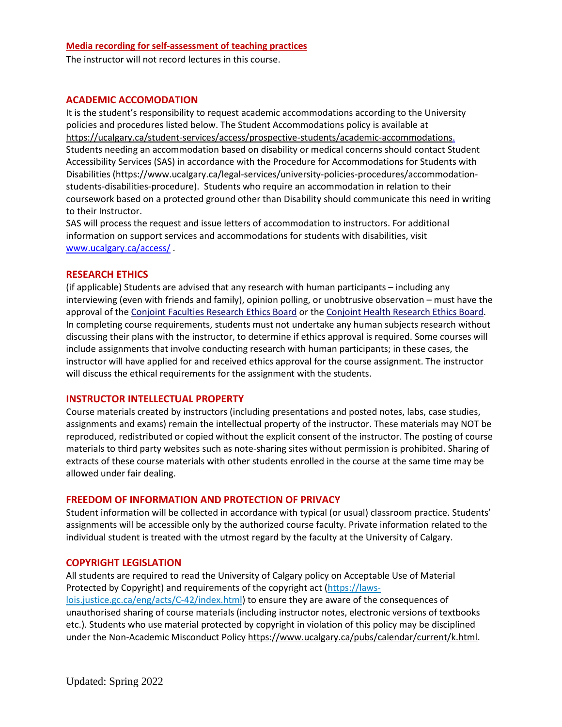#### **Media recording for self-assessment of teaching practices**

The instructor will not record lectures in this course.

#### **ACADEMIC ACCOMODATION**

It is the student's responsibility to request academic accommodations according to the University policies and procedures listed below. The Student Accommodations policy is available at [https://ucalgary.ca/student-services/access/prospective-students/academic-accommodations.](https://ucalgary.ca/student-services/access/prospective-students/academic-accommodations) Students needing an accommodation based on disability or medical concerns should contact Student Accessibility Services (SAS) in accordance with the Procedure for Accommodations for Students with Disabilities (https://www.ucalgary.ca/legal-services/university-policies-procedures/accommodationstudents-disabilities-procedure). Students who require an accommodation in relation to their coursework based on a protected ground other than Disability should communicate this need in writing to their Instructor.

SAS will process the request and issue letters of accommodation to instructors. For additional information on support services and accommodations for students with disabilities, visit [www.ucalgary.ca/access/](http://www.ucalgary.ca/access/) .

# **RESEARCH ETHICS**

(if applicable) Students are advised that any research with human participants – including any interviewing (even with friends and family), opinion polling, or unobtrusive observation – must have the approval of the Conjoint Faculties [Research](https://research.ucalgary.ca/conduct-research/ethics-compliance/human-research-ethics/conjoint-faculties-research-ethics-board) Ethics Board or the Conjoint Health [Research](https://research.ucalgary.ca/conduct-research/ethics-compliance/human-research-ethics/conjoint-health-research-ethics-board) Ethics Board. In completing course requirements, students must not undertake any human subjects research without discussing their plans with the instructor, to determine if ethics approval is required. Some courses will include assignments that involve conducting research with human participants; in these cases, the instructor will have applied for and received ethics approval for the course assignment. The instructor will discuss the ethical requirements for the assignment with the students.

### **INSTRUCTOR INTELLECTUAL PROPERTY**

Course materials created by instructors (including presentations and posted notes, labs, case studies, assignments and exams) remain the intellectual property of the instructor. These materials may NOT be reproduced, redistributed or copied without the explicit consent of the instructor. The posting of course materials to third party websites such as note-sharing sites without permission is prohibited. Sharing of extracts of these course materials with other students enrolled in the course at the same time may be allowed under fair dealing.

# **FREEDOM OF INFORMATION AND PROTECTION OF PRIVACY**

Student information will be collected in accordance with typical (or usual) classroom practice. Students' assignments will be accessible only by the authorized course faculty. Private information related to the individual student is treated with the utmost regard by the faculty at the University of Calgary.

#### **COPYRIGHT LEGISLATION**

All students are required to read the University of Calgary policy on Acceptable Use of Material Protected by Copyright) and requirements of the copyright act (https://lawslois.justice.gc.ca/eng/acts/C-42/index.html) to ensure they are aware of the consequences of unauthorised sharing of course materials (including instructor notes, electronic versions of textbooks etc.). Students who use material protected by copyright in violation of this policy may be disciplined under the Non-Academic Misconduct Policy [https://www.ucalgary.ca/pubs/calendar/current/k.html.](https://www.ucalgary.ca/pubs/calendar/current/k.html)